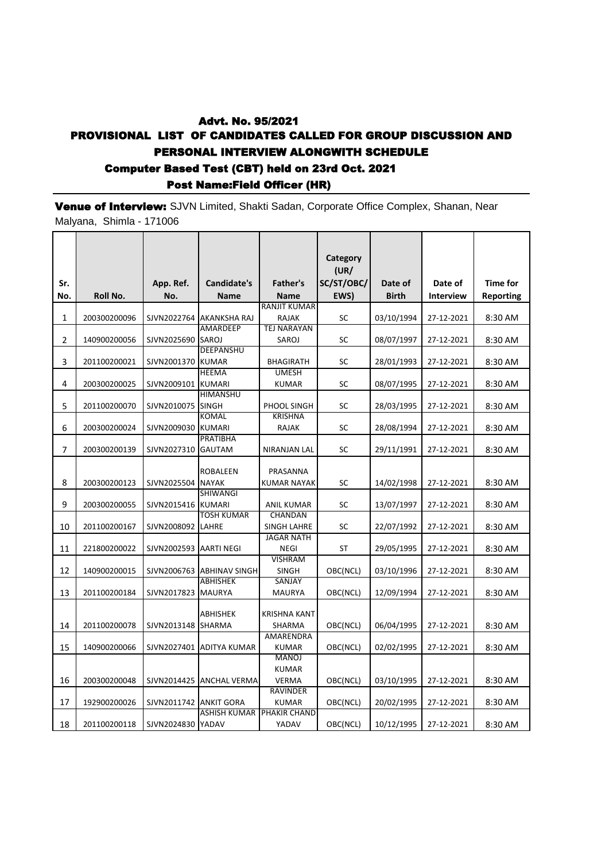## PROVISIONAL LIST OF CANDIDATES CALLED FOR GROUP DISCUSSION AND PERSONAL INTERVIEW ALONGWITH SCHEDULE Advt. No. 95/2021 Computer Based Test (CBT) held on 23rd Oct. 2021

Post Name:Field Officer (HR)

Venue of Interview: SJVN Limited, Shakti Sadan, Corporate Office Complex, Shanan, Near

Malyana, Shimla - 171006

|                |              |                        |                      |                     | Category   |              |                  |                  |
|----------------|--------------|------------------------|----------------------|---------------------|------------|--------------|------------------|------------------|
|                |              |                        |                      |                     | (UR/       |              |                  |                  |
| Sr.            |              | App. Ref.              | <b>Candidate's</b>   | <b>Father's</b>     | SC/ST/OBC/ | Date of      | Date of          | <b>Time for</b>  |
| No.            | Roll No.     | No.                    | Name                 | <b>Name</b>         | EWS)       | <b>Birth</b> | <b>Interview</b> | <b>Reporting</b> |
|                |              |                        |                      | <b>RANJIT KUMAR</b> |            |              |                  |                  |
| 1              | 200300200096 | SJVN2022764            | AKANKSHA RAJ         | <b>RAJAK</b>        | SC         | 03/10/1994   | 27-12-2021       | 8:30 AM          |
|                |              |                        | AMARDEEP             | <b>TEJ NARAYAN</b>  |            |              |                  |                  |
| 2              | 140900200056 | SJVN2025690 SAROJ      |                      | SAROJ               | SC         | 08/07/1997   | 27-12-2021       | 8:30 AM          |
|                |              |                        | <b>DEEPANSHU</b>     |                     |            |              |                  |                  |
| 3              | 201100200021 | SJVN2001370            | <b>KUMAR</b>         | <b>BHAGIRATH</b>    | SC         | 28/01/1993   | 27-12-2021       | 8:30 AM          |
|                |              |                        | <b>HEEMA</b>         | <b>UMESH</b>        |            |              |                  |                  |
| 4              | 200300200025 | SJVN2009101            | <b>KUMARI</b>        | <b>KUMAR</b>        | SC         | 08/07/1995   | 27-12-2021       | 8:30 AM          |
|                |              |                        | HIMANSHU             |                     |            |              |                  |                  |
| 5              | 201100200070 | SJVN2010075            | <b>SINGH</b>         | PHOOL SINGH         | SC         | 28/03/1995   | 27-12-2021       | 8:30 AM          |
|                |              |                        | <b>KOMAL</b>         | <b>KRISHNA</b>      |            |              |                  |                  |
| 6              | 200300200024 | SJVN2009030            | <b>KUMARI</b>        | RAJAK               | SC         | 28/08/1994   | 27-12-2021       | 8:30 AM          |
| $\overline{7}$ |              |                        | <b>PRATIBHA</b>      |                     |            |              |                  |                  |
|                | 200300200139 | SJVN2027310            | <b>GAUTAM</b>        | NIRANJAN LAL        | SC         | 29/11/1991   | 27-12-2021       | 8:30 AM          |
|                |              |                        | <b>ROBALEEN</b>      | PRASANNA            |            |              |                  |                  |
| 8              | 200300200123 | SJVN2025504            | <b>NAYAK</b>         | <b>KUMAR NAYAK</b>  | <b>SC</b>  | 14/02/1998   | 27-12-2021       | 8:30 AM          |
|                |              |                        | SHIWANGI             |                     |            |              |                  |                  |
| 9              | 200300200055 | SJVN2015416            | <b>KUMARI</b>        | <b>ANIL KUMAR</b>   | <b>SC</b>  | 13/07/1997   | 27-12-2021       | 8:30 AM          |
|                |              |                        | <b>TOSH KUMAR</b>    | CHANDAN             |            |              |                  |                  |
| 10             | 201100200167 | SJVN2008092            | LAHRE                | <b>SINGH LAHRE</b>  | SC         | 22/07/1992   | 27-12-2021       | 8:30 AM          |
|                |              |                        |                      | <b>JAGAR NATH</b>   |            |              |                  |                  |
| 11             | 221800200022 | SJVN2002593            | <b>AARTI NEGI</b>    | <b>NEGI</b>         | <b>ST</b>  | 29/05/1995   | 27-12-2021       | 8:30 AM          |
|                |              |                        |                      | <b>VISHRAM</b>      |            |              |                  |                  |
| 12             | 140900200015 | SJVN2006763            | <b>ABHINAV SINGH</b> | <b>SINGH</b>        | OBC(NCL)   | 03/10/1996   | 27-12-2021       | 8:30 AM          |
|                |              |                        | <b>ABHISHEK</b>      | SANJAY              |            |              |                  |                  |
| 13             | 201100200184 | SJVN2017823            | <b>MAURYA</b>        | <b>MAURYA</b>       | OBC(NCL)   | 12/09/1994   | 27-12-2021       | 8:30 AM          |
|                |              |                        |                      |                     |            |              |                  |                  |
|                |              |                        | ABHISHEK             | <b>KRISHNA KANT</b> |            |              |                  |                  |
| 14             | 201100200078 | SJVN2013148 SHARMA     |                      | SHARMA              | OBC(NCL)   | 06/04/1995   | 27-12-2021       | 8:30 AM          |
|                |              |                        |                      | AMARENDRA           |            |              |                  |                  |
| 15             | 140900200066 | SJVN2027401            | ADITYA KUMAR         | <b>KUMAR</b>        | OBC(NCL)   | 02/02/1995   | 27-12-2021       | 8:30 AM          |
|                |              |                        |                      | <b>MANOJ</b>        |            |              |                  |                  |
|                |              |                        |                      | <b>KUMAR</b>        |            |              |                  |                  |
| 16             | 200300200048 | SJVN2014425            | <b>ANCHAL VERMA</b>  | <b>VERMA</b>        | OBC(NCL)   | 03/10/1995   | 27-12-2021       | 8:30 AM          |
|                |              |                        |                      | <b>RAVINDER</b>     |            |              |                  |                  |
| 17             | 192900200026 | SJVN2011742 ANKIT GORA |                      | <b>KUMAR</b>        | OBC(NCL)   | 20/02/1995   | 27-12-2021       | 8:30 AM          |
|                |              |                        | <b>ASHISH KUMAR</b>  | PHAKIR CHAND        |            |              |                  |                  |
| 18             | 201100200118 | SJVN2024830 YADAV      |                      | YADAV               | OBC(NCL)   | 10/12/1995   | 27-12-2021       | 8:30 AM          |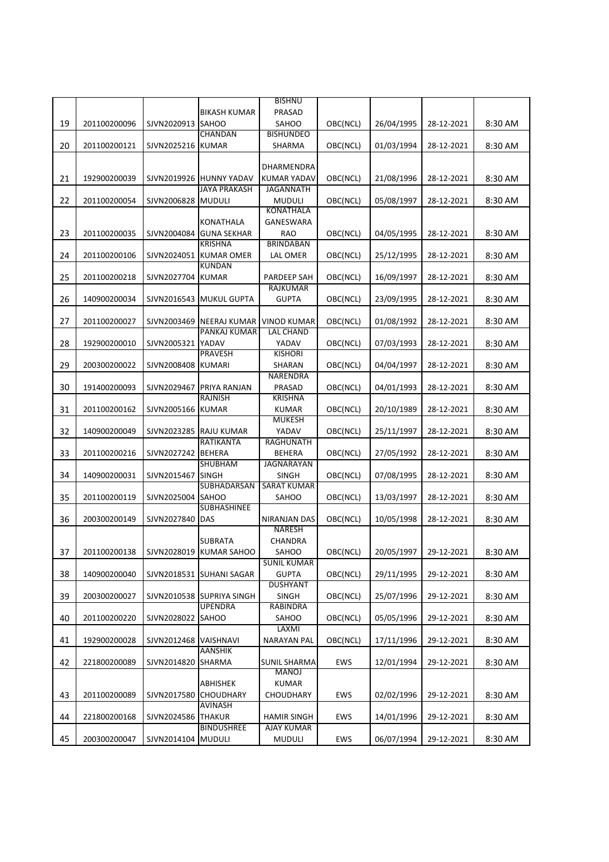| <b>BIKASH KUMAR</b><br>PRASAD<br>19<br>201100200096<br>SJVN2020913 SAHOO<br>OBC(NCL)<br>26/04/1995<br>SAHOO<br>28-12-2021<br>8:30 AM<br>CHANDAN<br><b>BISHUNDEO</b><br>20<br>201100200121<br><b>KUMAR</b><br>01/03/1994<br>SJVN2025216<br>SHARMA<br>OBC(NCL)<br>28-12-2021<br>8:30 AM<br>DHARMENDRA<br>192900200039<br>SJVN2019926 HUNNY YADAV<br><b>KUMAR YADAV</b><br>21/08/1996<br>21<br>OBC(NCL)<br>28-12-2021<br>8:30 AM<br><b>JAYA PRAKASH</b><br><b>JAGANNATH</b><br>22<br>SJVN2006828 MUDULI<br><b>MUDULI</b><br>05/08/1997<br>201100200054<br>OBC(NCL)<br>28-12-2021<br>8:30 AM<br>KONATHALA<br>GANESWARA<br><b>KONATHALA</b><br>201100200035<br>SJVN2004084<br><b>GUNA SEKHAR</b><br><b>RAO</b><br>OBC(NCL)<br>04/05/1995<br>23<br>28-12-2021<br>8:30 AM<br><b>KRISHNA</b><br><b>BRINDABAN</b><br>24<br>201100200106<br><b>KUMAR OMER</b><br>LAL OMER<br>OBC(NCL)<br>25/12/1995<br>28-12-2021<br>SJVN2024051<br>8:30 AM<br><b>KUNDAN</b><br>25<br>201100200218<br>SJVN2027704 KUMAR<br>PARDEEP SAH<br>OBC(NCL)<br>16/09/1997<br>28-12-2021<br>8:30 AM<br><b>RAJKUMAR</b><br><b>GUPTA</b><br>23/09/1995<br>26<br>140900200034<br>SJVN2016543<br><b>MUKUL GUPTA</b><br>OBC(NCL)<br>28-12-2021<br>8:30 AM<br>27<br>201100200027<br>SJVN2003469<br>NEERAJ KUMAR<br><b>VINOD KUMAR</b><br>OBC(NCL)<br>01/08/1992<br>28-12-2021<br>8:30 AM<br>PANKAJ KUMAR<br><b>LAL CHAND</b><br>28<br>192900200010<br>SJVN2005321<br>YADAV<br>YADAV<br>OBC(NCL)<br>07/03/1993<br>28-12-2021<br>8:30 AM<br>PRAVESH<br><b>KISHORI</b><br>29<br>200300200022<br>04/04/1997<br>SJVN2008408<br><b>KUMARI</b><br>SHARAN<br>OBC(NCL)<br>28-12-2021<br>8:30 AM<br>NARENDRA<br>191400200093<br>SJVN2029467<br>PRASAD<br>04/01/1993<br>28-12-2021<br>30<br>PRIYA RANJAN<br>OBC(NCL)<br>8:30 AM<br><b>KRISHNA</b><br>RAJNISH<br>31<br>SJVN2005166 KUMAR<br><b>KUMAR</b><br>201100200162<br>OBC(NCL)<br>20/10/1989<br>28-12-2021<br>8:30 AM<br><b>MUKESH</b><br>32<br>140900200049<br>SJVN2023285<br><b>RAJU KUMAR</b><br>YADAV<br>OBC(NCL)<br>25/11/1997<br>28-12-2021<br>8:30 AM<br><b>RATIKANTA</b><br>RAGHUNATH<br>33<br>201100200216<br>SJVN2027242<br><b>BEHERA</b><br>27/05/1992<br>BEHERA<br>OBC(NCL)<br>28-12-2021<br>8:30 AM<br>SHUBHAM<br><b>JAGNARAYAN</b><br>34<br>140900200031<br><b>SINGH</b><br><b>SINGH</b><br>07/08/1995<br>28-12-2021<br>8:30 AM<br>SJVN2015467<br>OBC(NCL)<br>SUBHADARSAN<br><b>SARAT KUMAR</b><br>35<br>201100200119<br>SJVN2025004<br><b>SAHOO</b><br>SAHOO<br>13/03/1997<br>28-12-2021<br>OBC(NCL)<br>8:30 AM<br><b>SUBHASHINEE</b><br>200300200149<br>36<br>SJVN2027840 DAS<br>NIRANJAN DAS<br>OBC(NCL)<br>10/05/1998<br>28-12-2021<br>8:30 AM<br>NARESH<br><b>SUBRATA</b><br><b>CHANDRA</b><br>37<br>SJVN2028019 KUMAR SAHOO<br>20/05/1997<br>29-12-2021<br>201100200138<br>SAHOO<br>OBC(NCL)<br>8:30 AM<br><b>SUNIL KUMAR</b><br>38<br><b>GUPTA</b><br>OBC(NCL)<br>29/11/1995<br>140900200040<br>SJVN2018531 SUHANI SAGAR<br>29-12-2021<br>8:30 AM<br><b>DUSHYANT</b><br>39<br>200300200027<br>SJVN2010538 SUPRIYA SINGH<br>25/07/1996<br>29-12-2021<br><b>SINGH</b><br>OBC(NCL)<br>8:30 AM<br><b>UPENDRA</b><br><b>RABINDRA</b><br>40<br>201100200220<br>SJVN2028022 SAHOO<br>05/05/1996<br>29-12-2021<br>SAHOO<br>OBC(NCL)<br>8:30 AM<br>LAXMI<br>41<br>17/11/1996<br>192900200028<br>SJVN2012468 VAISHNAVI<br><b>NARAYAN PAL</b><br>OBC(NCL)<br>29-12-2021<br>8:30 AM<br><b>AANSHIK</b><br>42<br>EWS<br>12/01/1994<br>221800200089<br>SJVN2014820 SHARMA<br><b>SUNIL SHARMA</b><br>29-12-2021<br>8:30 AM<br>MANOJ<br>ABHISHEK<br><b>KUMAR</b><br>43<br>201100200089<br>SJVN2017580<br><b>CHOUDHARY</b><br>EWS<br>02/02/1996<br>29-12-2021<br>8:30 AM<br>CHOUDHARY<br>AVINASH<br>44<br>221800200168<br><b>THAKUR</b><br>14/01/1996<br>SJVN2024586<br><b>HAMIR SINGH</b><br>EWS<br>29-12-2021<br>8:30 AM<br><b>BINDUSHREE</b><br><b>AJAY KUMAR</b><br>45<br>200300200047<br>SJVN2014104 MUDULI<br><b>MUDULI</b><br>EWS<br>06/07/1994<br>29-12-2021<br>8:30 AM |  |  | <b>BISHNU</b> |  |  |
|------------------------------------------------------------------------------------------------------------------------------------------------------------------------------------------------------------------------------------------------------------------------------------------------------------------------------------------------------------------------------------------------------------------------------------------------------------------------------------------------------------------------------------------------------------------------------------------------------------------------------------------------------------------------------------------------------------------------------------------------------------------------------------------------------------------------------------------------------------------------------------------------------------------------------------------------------------------------------------------------------------------------------------------------------------------------------------------------------------------------------------------------------------------------------------------------------------------------------------------------------------------------------------------------------------------------------------------------------------------------------------------------------------------------------------------------------------------------------------------------------------------------------------------------------------------------------------------------------------------------------------------------------------------------------------------------------------------------------------------------------------------------------------------------------------------------------------------------------------------------------------------------------------------------------------------------------------------------------------------------------------------------------------------------------------------------------------------------------------------------------------------------------------------------------------------------------------------------------------------------------------------------------------------------------------------------------------------------------------------------------------------------------------------------------------------------------------------------------------------------------------------------------------------------------------------------------------------------------------------------------------------------------------------------------------------------------------------------------------------------------------------------------------------------------------------------------------------------------------------------------------------------------------------------------------------------------------------------------------------------------------------------------------------------------------------------------------------------------------------------------------------------------------------------------------------------------------------------------------------------------------------------------------------------------------------------------------------------------------------------------------------------------------------------------------------------------------------------------------------------------------------------------------------------------------------------------------------------------------------------------------------------------------------------------------------------------------------------------------------------------------------------------------------------------------------------------------------------------------------------------------------------------------------------------------------------------------------------------------|--|--|---------------|--|--|
|                                                                                                                                                                                                                                                                                                                                                                                                                                                                                                                                                                                                                                                                                                                                                                                                                                                                                                                                                                                                                                                                                                                                                                                                                                                                                                                                                                                                                                                                                                                                                                                                                                                                                                                                                                                                                                                                                                                                                                                                                                                                                                                                                                                                                                                                                                                                                                                                                                                                                                                                                                                                                                                                                                                                                                                                                                                                                                                                                                                                                                                                                                                                                                                                                                                                                                                                                                                                                                                                                                                                                                                                                                                                                                                                                                                                                                                                                                                                                                                    |  |  |               |  |  |
|                                                                                                                                                                                                                                                                                                                                                                                                                                                                                                                                                                                                                                                                                                                                                                                                                                                                                                                                                                                                                                                                                                                                                                                                                                                                                                                                                                                                                                                                                                                                                                                                                                                                                                                                                                                                                                                                                                                                                                                                                                                                                                                                                                                                                                                                                                                                                                                                                                                                                                                                                                                                                                                                                                                                                                                                                                                                                                                                                                                                                                                                                                                                                                                                                                                                                                                                                                                                                                                                                                                                                                                                                                                                                                                                                                                                                                                                                                                                                                                    |  |  |               |  |  |
|                                                                                                                                                                                                                                                                                                                                                                                                                                                                                                                                                                                                                                                                                                                                                                                                                                                                                                                                                                                                                                                                                                                                                                                                                                                                                                                                                                                                                                                                                                                                                                                                                                                                                                                                                                                                                                                                                                                                                                                                                                                                                                                                                                                                                                                                                                                                                                                                                                                                                                                                                                                                                                                                                                                                                                                                                                                                                                                                                                                                                                                                                                                                                                                                                                                                                                                                                                                                                                                                                                                                                                                                                                                                                                                                                                                                                                                                                                                                                                                    |  |  |               |  |  |
|                                                                                                                                                                                                                                                                                                                                                                                                                                                                                                                                                                                                                                                                                                                                                                                                                                                                                                                                                                                                                                                                                                                                                                                                                                                                                                                                                                                                                                                                                                                                                                                                                                                                                                                                                                                                                                                                                                                                                                                                                                                                                                                                                                                                                                                                                                                                                                                                                                                                                                                                                                                                                                                                                                                                                                                                                                                                                                                                                                                                                                                                                                                                                                                                                                                                                                                                                                                                                                                                                                                                                                                                                                                                                                                                                                                                                                                                                                                                                                                    |  |  |               |  |  |
|                                                                                                                                                                                                                                                                                                                                                                                                                                                                                                                                                                                                                                                                                                                                                                                                                                                                                                                                                                                                                                                                                                                                                                                                                                                                                                                                                                                                                                                                                                                                                                                                                                                                                                                                                                                                                                                                                                                                                                                                                                                                                                                                                                                                                                                                                                                                                                                                                                                                                                                                                                                                                                                                                                                                                                                                                                                                                                                                                                                                                                                                                                                                                                                                                                                                                                                                                                                                                                                                                                                                                                                                                                                                                                                                                                                                                                                                                                                                                                                    |  |  |               |  |  |
|                                                                                                                                                                                                                                                                                                                                                                                                                                                                                                                                                                                                                                                                                                                                                                                                                                                                                                                                                                                                                                                                                                                                                                                                                                                                                                                                                                                                                                                                                                                                                                                                                                                                                                                                                                                                                                                                                                                                                                                                                                                                                                                                                                                                                                                                                                                                                                                                                                                                                                                                                                                                                                                                                                                                                                                                                                                                                                                                                                                                                                                                                                                                                                                                                                                                                                                                                                                                                                                                                                                                                                                                                                                                                                                                                                                                                                                                                                                                                                                    |  |  |               |  |  |
|                                                                                                                                                                                                                                                                                                                                                                                                                                                                                                                                                                                                                                                                                                                                                                                                                                                                                                                                                                                                                                                                                                                                                                                                                                                                                                                                                                                                                                                                                                                                                                                                                                                                                                                                                                                                                                                                                                                                                                                                                                                                                                                                                                                                                                                                                                                                                                                                                                                                                                                                                                                                                                                                                                                                                                                                                                                                                                                                                                                                                                                                                                                                                                                                                                                                                                                                                                                                                                                                                                                                                                                                                                                                                                                                                                                                                                                                                                                                                                                    |  |  |               |  |  |
|                                                                                                                                                                                                                                                                                                                                                                                                                                                                                                                                                                                                                                                                                                                                                                                                                                                                                                                                                                                                                                                                                                                                                                                                                                                                                                                                                                                                                                                                                                                                                                                                                                                                                                                                                                                                                                                                                                                                                                                                                                                                                                                                                                                                                                                                                                                                                                                                                                                                                                                                                                                                                                                                                                                                                                                                                                                                                                                                                                                                                                                                                                                                                                                                                                                                                                                                                                                                                                                                                                                                                                                                                                                                                                                                                                                                                                                                                                                                                                                    |  |  |               |  |  |
|                                                                                                                                                                                                                                                                                                                                                                                                                                                                                                                                                                                                                                                                                                                                                                                                                                                                                                                                                                                                                                                                                                                                                                                                                                                                                                                                                                                                                                                                                                                                                                                                                                                                                                                                                                                                                                                                                                                                                                                                                                                                                                                                                                                                                                                                                                                                                                                                                                                                                                                                                                                                                                                                                                                                                                                                                                                                                                                                                                                                                                                                                                                                                                                                                                                                                                                                                                                                                                                                                                                                                                                                                                                                                                                                                                                                                                                                                                                                                                                    |  |  |               |  |  |
|                                                                                                                                                                                                                                                                                                                                                                                                                                                                                                                                                                                                                                                                                                                                                                                                                                                                                                                                                                                                                                                                                                                                                                                                                                                                                                                                                                                                                                                                                                                                                                                                                                                                                                                                                                                                                                                                                                                                                                                                                                                                                                                                                                                                                                                                                                                                                                                                                                                                                                                                                                                                                                                                                                                                                                                                                                                                                                                                                                                                                                                                                                                                                                                                                                                                                                                                                                                                                                                                                                                                                                                                                                                                                                                                                                                                                                                                                                                                                                                    |  |  |               |  |  |
|                                                                                                                                                                                                                                                                                                                                                                                                                                                                                                                                                                                                                                                                                                                                                                                                                                                                                                                                                                                                                                                                                                                                                                                                                                                                                                                                                                                                                                                                                                                                                                                                                                                                                                                                                                                                                                                                                                                                                                                                                                                                                                                                                                                                                                                                                                                                                                                                                                                                                                                                                                                                                                                                                                                                                                                                                                                                                                                                                                                                                                                                                                                                                                                                                                                                                                                                                                                                                                                                                                                                                                                                                                                                                                                                                                                                                                                                                                                                                                                    |  |  |               |  |  |
|                                                                                                                                                                                                                                                                                                                                                                                                                                                                                                                                                                                                                                                                                                                                                                                                                                                                                                                                                                                                                                                                                                                                                                                                                                                                                                                                                                                                                                                                                                                                                                                                                                                                                                                                                                                                                                                                                                                                                                                                                                                                                                                                                                                                                                                                                                                                                                                                                                                                                                                                                                                                                                                                                                                                                                                                                                                                                                                                                                                                                                                                                                                                                                                                                                                                                                                                                                                                                                                                                                                                                                                                                                                                                                                                                                                                                                                                                                                                                                                    |  |  |               |  |  |
|                                                                                                                                                                                                                                                                                                                                                                                                                                                                                                                                                                                                                                                                                                                                                                                                                                                                                                                                                                                                                                                                                                                                                                                                                                                                                                                                                                                                                                                                                                                                                                                                                                                                                                                                                                                                                                                                                                                                                                                                                                                                                                                                                                                                                                                                                                                                                                                                                                                                                                                                                                                                                                                                                                                                                                                                                                                                                                                                                                                                                                                                                                                                                                                                                                                                                                                                                                                                                                                                                                                                                                                                                                                                                                                                                                                                                                                                                                                                                                                    |  |  |               |  |  |
|                                                                                                                                                                                                                                                                                                                                                                                                                                                                                                                                                                                                                                                                                                                                                                                                                                                                                                                                                                                                                                                                                                                                                                                                                                                                                                                                                                                                                                                                                                                                                                                                                                                                                                                                                                                                                                                                                                                                                                                                                                                                                                                                                                                                                                                                                                                                                                                                                                                                                                                                                                                                                                                                                                                                                                                                                                                                                                                                                                                                                                                                                                                                                                                                                                                                                                                                                                                                                                                                                                                                                                                                                                                                                                                                                                                                                                                                                                                                                                                    |  |  |               |  |  |
|                                                                                                                                                                                                                                                                                                                                                                                                                                                                                                                                                                                                                                                                                                                                                                                                                                                                                                                                                                                                                                                                                                                                                                                                                                                                                                                                                                                                                                                                                                                                                                                                                                                                                                                                                                                                                                                                                                                                                                                                                                                                                                                                                                                                                                                                                                                                                                                                                                                                                                                                                                                                                                                                                                                                                                                                                                                                                                                                                                                                                                                                                                                                                                                                                                                                                                                                                                                                                                                                                                                                                                                                                                                                                                                                                                                                                                                                                                                                                                                    |  |  |               |  |  |
|                                                                                                                                                                                                                                                                                                                                                                                                                                                                                                                                                                                                                                                                                                                                                                                                                                                                                                                                                                                                                                                                                                                                                                                                                                                                                                                                                                                                                                                                                                                                                                                                                                                                                                                                                                                                                                                                                                                                                                                                                                                                                                                                                                                                                                                                                                                                                                                                                                                                                                                                                                                                                                                                                                                                                                                                                                                                                                                                                                                                                                                                                                                                                                                                                                                                                                                                                                                                                                                                                                                                                                                                                                                                                                                                                                                                                                                                                                                                                                                    |  |  |               |  |  |
|                                                                                                                                                                                                                                                                                                                                                                                                                                                                                                                                                                                                                                                                                                                                                                                                                                                                                                                                                                                                                                                                                                                                                                                                                                                                                                                                                                                                                                                                                                                                                                                                                                                                                                                                                                                                                                                                                                                                                                                                                                                                                                                                                                                                                                                                                                                                                                                                                                                                                                                                                                                                                                                                                                                                                                                                                                                                                                                                                                                                                                                                                                                                                                                                                                                                                                                                                                                                                                                                                                                                                                                                                                                                                                                                                                                                                                                                                                                                                                                    |  |  |               |  |  |
|                                                                                                                                                                                                                                                                                                                                                                                                                                                                                                                                                                                                                                                                                                                                                                                                                                                                                                                                                                                                                                                                                                                                                                                                                                                                                                                                                                                                                                                                                                                                                                                                                                                                                                                                                                                                                                                                                                                                                                                                                                                                                                                                                                                                                                                                                                                                                                                                                                                                                                                                                                                                                                                                                                                                                                                                                                                                                                                                                                                                                                                                                                                                                                                                                                                                                                                                                                                                                                                                                                                                                                                                                                                                                                                                                                                                                                                                                                                                                                                    |  |  |               |  |  |
|                                                                                                                                                                                                                                                                                                                                                                                                                                                                                                                                                                                                                                                                                                                                                                                                                                                                                                                                                                                                                                                                                                                                                                                                                                                                                                                                                                                                                                                                                                                                                                                                                                                                                                                                                                                                                                                                                                                                                                                                                                                                                                                                                                                                                                                                                                                                                                                                                                                                                                                                                                                                                                                                                                                                                                                                                                                                                                                                                                                                                                                                                                                                                                                                                                                                                                                                                                                                                                                                                                                                                                                                                                                                                                                                                                                                                                                                                                                                                                                    |  |  |               |  |  |
|                                                                                                                                                                                                                                                                                                                                                                                                                                                                                                                                                                                                                                                                                                                                                                                                                                                                                                                                                                                                                                                                                                                                                                                                                                                                                                                                                                                                                                                                                                                                                                                                                                                                                                                                                                                                                                                                                                                                                                                                                                                                                                                                                                                                                                                                                                                                                                                                                                                                                                                                                                                                                                                                                                                                                                                                                                                                                                                                                                                                                                                                                                                                                                                                                                                                                                                                                                                                                                                                                                                                                                                                                                                                                                                                                                                                                                                                                                                                                                                    |  |  |               |  |  |
|                                                                                                                                                                                                                                                                                                                                                                                                                                                                                                                                                                                                                                                                                                                                                                                                                                                                                                                                                                                                                                                                                                                                                                                                                                                                                                                                                                                                                                                                                                                                                                                                                                                                                                                                                                                                                                                                                                                                                                                                                                                                                                                                                                                                                                                                                                                                                                                                                                                                                                                                                                                                                                                                                                                                                                                                                                                                                                                                                                                                                                                                                                                                                                                                                                                                                                                                                                                                                                                                                                                                                                                                                                                                                                                                                                                                                                                                                                                                                                                    |  |  |               |  |  |
|                                                                                                                                                                                                                                                                                                                                                                                                                                                                                                                                                                                                                                                                                                                                                                                                                                                                                                                                                                                                                                                                                                                                                                                                                                                                                                                                                                                                                                                                                                                                                                                                                                                                                                                                                                                                                                                                                                                                                                                                                                                                                                                                                                                                                                                                                                                                                                                                                                                                                                                                                                                                                                                                                                                                                                                                                                                                                                                                                                                                                                                                                                                                                                                                                                                                                                                                                                                                                                                                                                                                                                                                                                                                                                                                                                                                                                                                                                                                                                                    |  |  |               |  |  |
|                                                                                                                                                                                                                                                                                                                                                                                                                                                                                                                                                                                                                                                                                                                                                                                                                                                                                                                                                                                                                                                                                                                                                                                                                                                                                                                                                                                                                                                                                                                                                                                                                                                                                                                                                                                                                                                                                                                                                                                                                                                                                                                                                                                                                                                                                                                                                                                                                                                                                                                                                                                                                                                                                                                                                                                                                                                                                                                                                                                                                                                                                                                                                                                                                                                                                                                                                                                                                                                                                                                                                                                                                                                                                                                                                                                                                                                                                                                                                                                    |  |  |               |  |  |
|                                                                                                                                                                                                                                                                                                                                                                                                                                                                                                                                                                                                                                                                                                                                                                                                                                                                                                                                                                                                                                                                                                                                                                                                                                                                                                                                                                                                                                                                                                                                                                                                                                                                                                                                                                                                                                                                                                                                                                                                                                                                                                                                                                                                                                                                                                                                                                                                                                                                                                                                                                                                                                                                                                                                                                                                                                                                                                                                                                                                                                                                                                                                                                                                                                                                                                                                                                                                                                                                                                                                                                                                                                                                                                                                                                                                                                                                                                                                                                                    |  |  |               |  |  |
|                                                                                                                                                                                                                                                                                                                                                                                                                                                                                                                                                                                                                                                                                                                                                                                                                                                                                                                                                                                                                                                                                                                                                                                                                                                                                                                                                                                                                                                                                                                                                                                                                                                                                                                                                                                                                                                                                                                                                                                                                                                                                                                                                                                                                                                                                                                                                                                                                                                                                                                                                                                                                                                                                                                                                                                                                                                                                                                                                                                                                                                                                                                                                                                                                                                                                                                                                                                                                                                                                                                                                                                                                                                                                                                                                                                                                                                                                                                                                                                    |  |  |               |  |  |
|                                                                                                                                                                                                                                                                                                                                                                                                                                                                                                                                                                                                                                                                                                                                                                                                                                                                                                                                                                                                                                                                                                                                                                                                                                                                                                                                                                                                                                                                                                                                                                                                                                                                                                                                                                                                                                                                                                                                                                                                                                                                                                                                                                                                                                                                                                                                                                                                                                                                                                                                                                                                                                                                                                                                                                                                                                                                                                                                                                                                                                                                                                                                                                                                                                                                                                                                                                                                                                                                                                                                                                                                                                                                                                                                                                                                                                                                                                                                                                                    |  |  |               |  |  |
|                                                                                                                                                                                                                                                                                                                                                                                                                                                                                                                                                                                                                                                                                                                                                                                                                                                                                                                                                                                                                                                                                                                                                                                                                                                                                                                                                                                                                                                                                                                                                                                                                                                                                                                                                                                                                                                                                                                                                                                                                                                                                                                                                                                                                                                                                                                                                                                                                                                                                                                                                                                                                                                                                                                                                                                                                                                                                                                                                                                                                                                                                                                                                                                                                                                                                                                                                                                                                                                                                                                                                                                                                                                                                                                                                                                                                                                                                                                                                                                    |  |  |               |  |  |
|                                                                                                                                                                                                                                                                                                                                                                                                                                                                                                                                                                                                                                                                                                                                                                                                                                                                                                                                                                                                                                                                                                                                                                                                                                                                                                                                                                                                                                                                                                                                                                                                                                                                                                                                                                                                                                                                                                                                                                                                                                                                                                                                                                                                                                                                                                                                                                                                                                                                                                                                                                                                                                                                                                                                                                                                                                                                                                                                                                                                                                                                                                                                                                                                                                                                                                                                                                                                                                                                                                                                                                                                                                                                                                                                                                                                                                                                                                                                                                                    |  |  |               |  |  |
|                                                                                                                                                                                                                                                                                                                                                                                                                                                                                                                                                                                                                                                                                                                                                                                                                                                                                                                                                                                                                                                                                                                                                                                                                                                                                                                                                                                                                                                                                                                                                                                                                                                                                                                                                                                                                                                                                                                                                                                                                                                                                                                                                                                                                                                                                                                                                                                                                                                                                                                                                                                                                                                                                                                                                                                                                                                                                                                                                                                                                                                                                                                                                                                                                                                                                                                                                                                                                                                                                                                                                                                                                                                                                                                                                                                                                                                                                                                                                                                    |  |  |               |  |  |
|                                                                                                                                                                                                                                                                                                                                                                                                                                                                                                                                                                                                                                                                                                                                                                                                                                                                                                                                                                                                                                                                                                                                                                                                                                                                                                                                                                                                                                                                                                                                                                                                                                                                                                                                                                                                                                                                                                                                                                                                                                                                                                                                                                                                                                                                                                                                                                                                                                                                                                                                                                                                                                                                                                                                                                                                                                                                                                                                                                                                                                                                                                                                                                                                                                                                                                                                                                                                                                                                                                                                                                                                                                                                                                                                                                                                                                                                                                                                                                                    |  |  |               |  |  |
|                                                                                                                                                                                                                                                                                                                                                                                                                                                                                                                                                                                                                                                                                                                                                                                                                                                                                                                                                                                                                                                                                                                                                                                                                                                                                                                                                                                                                                                                                                                                                                                                                                                                                                                                                                                                                                                                                                                                                                                                                                                                                                                                                                                                                                                                                                                                                                                                                                                                                                                                                                                                                                                                                                                                                                                                                                                                                                                                                                                                                                                                                                                                                                                                                                                                                                                                                                                                                                                                                                                                                                                                                                                                                                                                                                                                                                                                                                                                                                                    |  |  |               |  |  |
|                                                                                                                                                                                                                                                                                                                                                                                                                                                                                                                                                                                                                                                                                                                                                                                                                                                                                                                                                                                                                                                                                                                                                                                                                                                                                                                                                                                                                                                                                                                                                                                                                                                                                                                                                                                                                                                                                                                                                                                                                                                                                                                                                                                                                                                                                                                                                                                                                                                                                                                                                                                                                                                                                                                                                                                                                                                                                                                                                                                                                                                                                                                                                                                                                                                                                                                                                                                                                                                                                                                                                                                                                                                                                                                                                                                                                                                                                                                                                                                    |  |  |               |  |  |
|                                                                                                                                                                                                                                                                                                                                                                                                                                                                                                                                                                                                                                                                                                                                                                                                                                                                                                                                                                                                                                                                                                                                                                                                                                                                                                                                                                                                                                                                                                                                                                                                                                                                                                                                                                                                                                                                                                                                                                                                                                                                                                                                                                                                                                                                                                                                                                                                                                                                                                                                                                                                                                                                                                                                                                                                                                                                                                                                                                                                                                                                                                                                                                                                                                                                                                                                                                                                                                                                                                                                                                                                                                                                                                                                                                                                                                                                                                                                                                                    |  |  |               |  |  |
|                                                                                                                                                                                                                                                                                                                                                                                                                                                                                                                                                                                                                                                                                                                                                                                                                                                                                                                                                                                                                                                                                                                                                                                                                                                                                                                                                                                                                                                                                                                                                                                                                                                                                                                                                                                                                                                                                                                                                                                                                                                                                                                                                                                                                                                                                                                                                                                                                                                                                                                                                                                                                                                                                                                                                                                                                                                                                                                                                                                                                                                                                                                                                                                                                                                                                                                                                                                                                                                                                                                                                                                                                                                                                                                                                                                                                                                                                                                                                                                    |  |  |               |  |  |
|                                                                                                                                                                                                                                                                                                                                                                                                                                                                                                                                                                                                                                                                                                                                                                                                                                                                                                                                                                                                                                                                                                                                                                                                                                                                                                                                                                                                                                                                                                                                                                                                                                                                                                                                                                                                                                                                                                                                                                                                                                                                                                                                                                                                                                                                                                                                                                                                                                                                                                                                                                                                                                                                                                                                                                                                                                                                                                                                                                                                                                                                                                                                                                                                                                                                                                                                                                                                                                                                                                                                                                                                                                                                                                                                                                                                                                                                                                                                                                                    |  |  |               |  |  |
|                                                                                                                                                                                                                                                                                                                                                                                                                                                                                                                                                                                                                                                                                                                                                                                                                                                                                                                                                                                                                                                                                                                                                                                                                                                                                                                                                                                                                                                                                                                                                                                                                                                                                                                                                                                                                                                                                                                                                                                                                                                                                                                                                                                                                                                                                                                                                                                                                                                                                                                                                                                                                                                                                                                                                                                                                                                                                                                                                                                                                                                                                                                                                                                                                                                                                                                                                                                                                                                                                                                                                                                                                                                                                                                                                                                                                                                                                                                                                                                    |  |  |               |  |  |
|                                                                                                                                                                                                                                                                                                                                                                                                                                                                                                                                                                                                                                                                                                                                                                                                                                                                                                                                                                                                                                                                                                                                                                                                                                                                                                                                                                                                                                                                                                                                                                                                                                                                                                                                                                                                                                                                                                                                                                                                                                                                                                                                                                                                                                                                                                                                                                                                                                                                                                                                                                                                                                                                                                                                                                                                                                                                                                                                                                                                                                                                                                                                                                                                                                                                                                                                                                                                                                                                                                                                                                                                                                                                                                                                                                                                                                                                                                                                                                                    |  |  |               |  |  |
|                                                                                                                                                                                                                                                                                                                                                                                                                                                                                                                                                                                                                                                                                                                                                                                                                                                                                                                                                                                                                                                                                                                                                                                                                                                                                                                                                                                                                                                                                                                                                                                                                                                                                                                                                                                                                                                                                                                                                                                                                                                                                                                                                                                                                                                                                                                                                                                                                                                                                                                                                                                                                                                                                                                                                                                                                                                                                                                                                                                                                                                                                                                                                                                                                                                                                                                                                                                                                                                                                                                                                                                                                                                                                                                                                                                                                                                                                                                                                                                    |  |  |               |  |  |
|                                                                                                                                                                                                                                                                                                                                                                                                                                                                                                                                                                                                                                                                                                                                                                                                                                                                                                                                                                                                                                                                                                                                                                                                                                                                                                                                                                                                                                                                                                                                                                                                                                                                                                                                                                                                                                                                                                                                                                                                                                                                                                                                                                                                                                                                                                                                                                                                                                                                                                                                                                                                                                                                                                                                                                                                                                                                                                                                                                                                                                                                                                                                                                                                                                                                                                                                                                                                                                                                                                                                                                                                                                                                                                                                                                                                                                                                                                                                                                                    |  |  |               |  |  |
|                                                                                                                                                                                                                                                                                                                                                                                                                                                                                                                                                                                                                                                                                                                                                                                                                                                                                                                                                                                                                                                                                                                                                                                                                                                                                                                                                                                                                                                                                                                                                                                                                                                                                                                                                                                                                                                                                                                                                                                                                                                                                                                                                                                                                                                                                                                                                                                                                                                                                                                                                                                                                                                                                                                                                                                                                                                                                                                                                                                                                                                                                                                                                                                                                                                                                                                                                                                                                                                                                                                                                                                                                                                                                                                                                                                                                                                                                                                                                                                    |  |  |               |  |  |
|                                                                                                                                                                                                                                                                                                                                                                                                                                                                                                                                                                                                                                                                                                                                                                                                                                                                                                                                                                                                                                                                                                                                                                                                                                                                                                                                                                                                                                                                                                                                                                                                                                                                                                                                                                                                                                                                                                                                                                                                                                                                                                                                                                                                                                                                                                                                                                                                                                                                                                                                                                                                                                                                                                                                                                                                                                                                                                                                                                                                                                                                                                                                                                                                                                                                                                                                                                                                                                                                                                                                                                                                                                                                                                                                                                                                                                                                                                                                                                                    |  |  |               |  |  |
|                                                                                                                                                                                                                                                                                                                                                                                                                                                                                                                                                                                                                                                                                                                                                                                                                                                                                                                                                                                                                                                                                                                                                                                                                                                                                                                                                                                                                                                                                                                                                                                                                                                                                                                                                                                                                                                                                                                                                                                                                                                                                                                                                                                                                                                                                                                                                                                                                                                                                                                                                                                                                                                                                                                                                                                                                                                                                                                                                                                                                                                                                                                                                                                                                                                                                                                                                                                                                                                                                                                                                                                                                                                                                                                                                                                                                                                                                                                                                                                    |  |  |               |  |  |
|                                                                                                                                                                                                                                                                                                                                                                                                                                                                                                                                                                                                                                                                                                                                                                                                                                                                                                                                                                                                                                                                                                                                                                                                                                                                                                                                                                                                                                                                                                                                                                                                                                                                                                                                                                                                                                                                                                                                                                                                                                                                                                                                                                                                                                                                                                                                                                                                                                                                                                                                                                                                                                                                                                                                                                                                                                                                                                                                                                                                                                                                                                                                                                                                                                                                                                                                                                                                                                                                                                                                                                                                                                                                                                                                                                                                                                                                                                                                                                                    |  |  |               |  |  |
|                                                                                                                                                                                                                                                                                                                                                                                                                                                                                                                                                                                                                                                                                                                                                                                                                                                                                                                                                                                                                                                                                                                                                                                                                                                                                                                                                                                                                                                                                                                                                                                                                                                                                                                                                                                                                                                                                                                                                                                                                                                                                                                                                                                                                                                                                                                                                                                                                                                                                                                                                                                                                                                                                                                                                                                                                                                                                                                                                                                                                                                                                                                                                                                                                                                                                                                                                                                                                                                                                                                                                                                                                                                                                                                                                                                                                                                                                                                                                                                    |  |  |               |  |  |
|                                                                                                                                                                                                                                                                                                                                                                                                                                                                                                                                                                                                                                                                                                                                                                                                                                                                                                                                                                                                                                                                                                                                                                                                                                                                                                                                                                                                                                                                                                                                                                                                                                                                                                                                                                                                                                                                                                                                                                                                                                                                                                                                                                                                                                                                                                                                                                                                                                                                                                                                                                                                                                                                                                                                                                                                                                                                                                                                                                                                                                                                                                                                                                                                                                                                                                                                                                                                                                                                                                                                                                                                                                                                                                                                                                                                                                                                                                                                                                                    |  |  |               |  |  |
|                                                                                                                                                                                                                                                                                                                                                                                                                                                                                                                                                                                                                                                                                                                                                                                                                                                                                                                                                                                                                                                                                                                                                                                                                                                                                                                                                                                                                                                                                                                                                                                                                                                                                                                                                                                                                                                                                                                                                                                                                                                                                                                                                                                                                                                                                                                                                                                                                                                                                                                                                                                                                                                                                                                                                                                                                                                                                                                                                                                                                                                                                                                                                                                                                                                                                                                                                                                                                                                                                                                                                                                                                                                                                                                                                                                                                                                                                                                                                                                    |  |  |               |  |  |
|                                                                                                                                                                                                                                                                                                                                                                                                                                                                                                                                                                                                                                                                                                                                                                                                                                                                                                                                                                                                                                                                                                                                                                                                                                                                                                                                                                                                                                                                                                                                                                                                                                                                                                                                                                                                                                                                                                                                                                                                                                                                                                                                                                                                                                                                                                                                                                                                                                                                                                                                                                                                                                                                                                                                                                                                                                                                                                                                                                                                                                                                                                                                                                                                                                                                                                                                                                                                                                                                                                                                                                                                                                                                                                                                                                                                                                                                                                                                                                                    |  |  |               |  |  |
|                                                                                                                                                                                                                                                                                                                                                                                                                                                                                                                                                                                                                                                                                                                                                                                                                                                                                                                                                                                                                                                                                                                                                                                                                                                                                                                                                                                                                                                                                                                                                                                                                                                                                                                                                                                                                                                                                                                                                                                                                                                                                                                                                                                                                                                                                                                                                                                                                                                                                                                                                                                                                                                                                                                                                                                                                                                                                                                                                                                                                                                                                                                                                                                                                                                                                                                                                                                                                                                                                                                                                                                                                                                                                                                                                                                                                                                                                                                                                                                    |  |  |               |  |  |
|                                                                                                                                                                                                                                                                                                                                                                                                                                                                                                                                                                                                                                                                                                                                                                                                                                                                                                                                                                                                                                                                                                                                                                                                                                                                                                                                                                                                                                                                                                                                                                                                                                                                                                                                                                                                                                                                                                                                                                                                                                                                                                                                                                                                                                                                                                                                                                                                                                                                                                                                                                                                                                                                                                                                                                                                                                                                                                                                                                                                                                                                                                                                                                                                                                                                                                                                                                                                                                                                                                                                                                                                                                                                                                                                                                                                                                                                                                                                                                                    |  |  |               |  |  |
|                                                                                                                                                                                                                                                                                                                                                                                                                                                                                                                                                                                                                                                                                                                                                                                                                                                                                                                                                                                                                                                                                                                                                                                                                                                                                                                                                                                                                                                                                                                                                                                                                                                                                                                                                                                                                                                                                                                                                                                                                                                                                                                                                                                                                                                                                                                                                                                                                                                                                                                                                                                                                                                                                                                                                                                                                                                                                                                                                                                                                                                                                                                                                                                                                                                                                                                                                                                                                                                                                                                                                                                                                                                                                                                                                                                                                                                                                                                                                                                    |  |  |               |  |  |
|                                                                                                                                                                                                                                                                                                                                                                                                                                                                                                                                                                                                                                                                                                                                                                                                                                                                                                                                                                                                                                                                                                                                                                                                                                                                                                                                                                                                                                                                                                                                                                                                                                                                                                                                                                                                                                                                                                                                                                                                                                                                                                                                                                                                                                                                                                                                                                                                                                                                                                                                                                                                                                                                                                                                                                                                                                                                                                                                                                                                                                                                                                                                                                                                                                                                                                                                                                                                                                                                                                                                                                                                                                                                                                                                                                                                                                                                                                                                                                                    |  |  |               |  |  |
|                                                                                                                                                                                                                                                                                                                                                                                                                                                                                                                                                                                                                                                                                                                                                                                                                                                                                                                                                                                                                                                                                                                                                                                                                                                                                                                                                                                                                                                                                                                                                                                                                                                                                                                                                                                                                                                                                                                                                                                                                                                                                                                                                                                                                                                                                                                                                                                                                                                                                                                                                                                                                                                                                                                                                                                                                                                                                                                                                                                                                                                                                                                                                                                                                                                                                                                                                                                                                                                                                                                                                                                                                                                                                                                                                                                                                                                                                                                                                                                    |  |  |               |  |  |
|                                                                                                                                                                                                                                                                                                                                                                                                                                                                                                                                                                                                                                                                                                                                                                                                                                                                                                                                                                                                                                                                                                                                                                                                                                                                                                                                                                                                                                                                                                                                                                                                                                                                                                                                                                                                                                                                                                                                                                                                                                                                                                                                                                                                                                                                                                                                                                                                                                                                                                                                                                                                                                                                                                                                                                                                                                                                                                                                                                                                                                                                                                                                                                                                                                                                                                                                                                                                                                                                                                                                                                                                                                                                                                                                                                                                                                                                                                                                                                                    |  |  |               |  |  |
|                                                                                                                                                                                                                                                                                                                                                                                                                                                                                                                                                                                                                                                                                                                                                                                                                                                                                                                                                                                                                                                                                                                                                                                                                                                                                                                                                                                                                                                                                                                                                                                                                                                                                                                                                                                                                                                                                                                                                                                                                                                                                                                                                                                                                                                                                                                                                                                                                                                                                                                                                                                                                                                                                                                                                                                                                                                                                                                                                                                                                                                                                                                                                                                                                                                                                                                                                                                                                                                                                                                                                                                                                                                                                                                                                                                                                                                                                                                                                                                    |  |  |               |  |  |
|                                                                                                                                                                                                                                                                                                                                                                                                                                                                                                                                                                                                                                                                                                                                                                                                                                                                                                                                                                                                                                                                                                                                                                                                                                                                                                                                                                                                                                                                                                                                                                                                                                                                                                                                                                                                                                                                                                                                                                                                                                                                                                                                                                                                                                                                                                                                                                                                                                                                                                                                                                                                                                                                                                                                                                                                                                                                                                                                                                                                                                                                                                                                                                                                                                                                                                                                                                                                                                                                                                                                                                                                                                                                                                                                                                                                                                                                                                                                                                                    |  |  |               |  |  |
|                                                                                                                                                                                                                                                                                                                                                                                                                                                                                                                                                                                                                                                                                                                                                                                                                                                                                                                                                                                                                                                                                                                                                                                                                                                                                                                                                                                                                                                                                                                                                                                                                                                                                                                                                                                                                                                                                                                                                                                                                                                                                                                                                                                                                                                                                                                                                                                                                                                                                                                                                                                                                                                                                                                                                                                                                                                                                                                                                                                                                                                                                                                                                                                                                                                                                                                                                                                                                                                                                                                                                                                                                                                                                                                                                                                                                                                                                                                                                                                    |  |  |               |  |  |
|                                                                                                                                                                                                                                                                                                                                                                                                                                                                                                                                                                                                                                                                                                                                                                                                                                                                                                                                                                                                                                                                                                                                                                                                                                                                                                                                                                                                                                                                                                                                                                                                                                                                                                                                                                                                                                                                                                                                                                                                                                                                                                                                                                                                                                                                                                                                                                                                                                                                                                                                                                                                                                                                                                                                                                                                                                                                                                                                                                                                                                                                                                                                                                                                                                                                                                                                                                                                                                                                                                                                                                                                                                                                                                                                                                                                                                                                                                                                                                                    |  |  |               |  |  |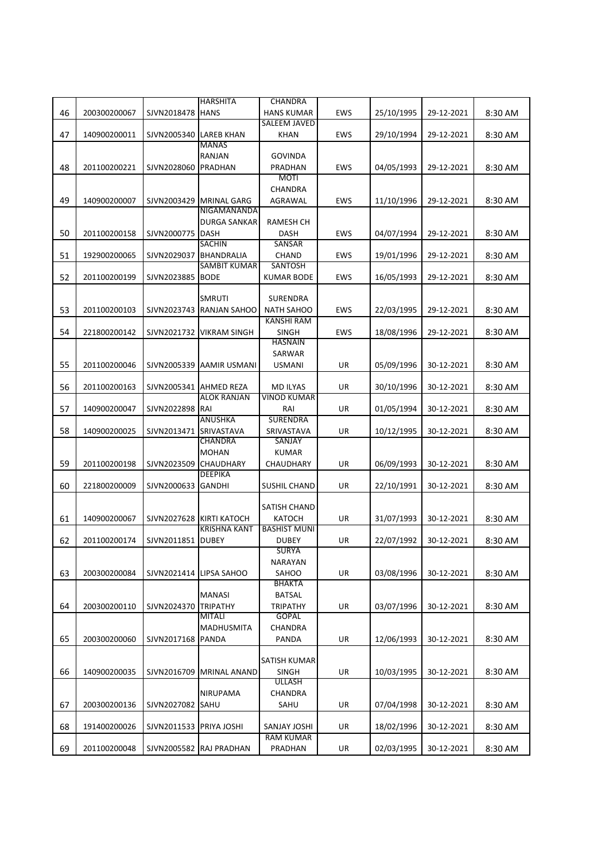|    |              |                         | <b>HARSHITA</b>          | CHANDRA              |            |            |            |         |
|----|--------------|-------------------------|--------------------------|----------------------|------------|------------|------------|---------|
| 46 | 200300200067 | SJVN2018478 HANS        |                          | <b>HANS KUMAR</b>    | <b>EWS</b> | 25/10/1995 | 29-12-2021 | 8:30 AM |
|    |              |                         |                          | SALEEM JAVED         |            |            |            |         |
| 47 | 140900200011 | SJVN2005340             | LAREB KHAN               | <b>KHAN</b>          | <b>EWS</b> | 29/10/1994 | 29-12-2021 | 8:30 AM |
|    |              |                         | <b>MANAS</b>             |                      |            |            |            |         |
|    |              |                         | RANJAN                   | <b>GOVINDA</b>       |            |            |            |         |
| 48 | 201100200221 | SJVN2028060             | PRADHAN                  | PRADHAN              | <b>EWS</b> | 04/05/1993 | 29-12-2021 | 8:30 AM |
|    |              |                         |                          | MOTI                 |            |            |            |         |
|    |              |                         |                          | <b>CHANDRA</b>       |            |            |            |         |
| 49 | 140900200007 | SJVN2003429             | <b>MRINAL GARG</b>       | <b>AGRAWAL</b>       | <b>EWS</b> | 11/10/1996 | 29-12-2021 | 8:30 AM |
|    |              |                         | NIGAMANANDA              |                      |            |            |            |         |
|    |              |                         | <b>DURGA SANKAR</b>      | RAMESH CH            |            |            |            |         |
| 50 | 201100200158 | SJVN2000775             | DASH                     | <b>DASH</b>          | <b>EWS</b> | 04/07/1994 | 29-12-2021 | 8:30 AM |
|    |              |                         | <b>SACHIN</b>            | <b>SANSAR</b>        |            |            |            |         |
| 51 | 192900200065 | SJVN2029037 BHANDRALIA  |                          | <b>CHAND</b>         | <b>EWS</b> | 19/01/1996 | 29-12-2021 | 8:30 AM |
|    |              |                         | <b>SAMBIT KUMAR</b>      | SANTOSH              |            |            |            |         |
| 52 | 201100200199 | SJVN2023885 BODE        |                          | <b>KUMAR BODE</b>    | EWS        | 16/05/1993 | 29-12-2021 | 8:30 AM |
|    |              |                         |                          |                      |            |            |            |         |
|    |              |                         | <b>SMRUTI</b>            | <b>SURENDRA</b>      |            |            |            |         |
| 53 | 201100200103 |                         | SJVN2023743 RANJAN SAHOO | <b>NATH SAHOO</b>    | <b>EWS</b> | 22/03/1995 | 29-12-2021 | 8:30 AM |
|    |              |                         |                          | <b>KANSHI RAM</b>    |            |            |            |         |
| 54 | 221800200142 | SJVN2021732             | <b>VIKRAM SINGH</b>      | <b>SINGH</b>         | <b>EWS</b> | 18/08/1996 | 29-12-2021 | 8:30 AM |
|    |              |                         |                          | <b>HASNAIN</b>       |            |            |            |         |
|    |              |                         |                          | SARWAR               |            |            |            |         |
| 55 | 201100200046 | SJVN2005339             | AAMIR USMANI             | <b>USMANI</b>        | UR         | 05/09/1996 | 30-12-2021 | 8:30 AM |
|    |              |                         |                          |                      |            |            |            |         |
| 56 | 201100200163 | SJVN2005341             | <b>AHMED REZA</b>        | <b>MD ILYAS</b>      | UR         | 30/10/1996 | 30-12-2021 | 8:30 AM |
|    |              |                         | <b>ALOK RANJAN</b>       | <b>VINOD KUMAR</b>   |            |            |            |         |
| 57 | 140900200047 | SJVN2022898 RAI         | ANUSHKA                  | RAI<br>SURENDRA      | UR         | 01/05/1994 | 30-12-2021 | 8:30 AM |
| 58 | 140900200025 |                         | SRIVASTAVA               |                      |            |            | 30-12-2021 |         |
|    |              | SJVN2013471             | CHANDRA                  | SRIVASTAVA<br>SANJAY | UR         | 10/12/1995 |            | 8:30 AM |
|    |              |                         | <b>MOHAN</b>             | <b>KUMAR</b>         |            |            |            |         |
| 59 | 201100200198 | SJVN2023509             | <b>CHAUDHARY</b>         | CHAUDHARY            | UR         | 06/09/1993 | 30-12-2021 | 8:30 AM |
|    |              |                         | <b>DEEPIKA</b>           |                      |            |            |            |         |
| 60 | 221800200009 | SJVN2000633             | <b>GANDHI</b>            | SUSHIL CHAND         | UR         | 22/10/1991 | 30-12-2021 | 8:30 AM |
|    |              |                         |                          |                      |            |            |            |         |
|    |              |                         |                          | SATISH CHAND         |            |            |            |         |
| 61 | 140900200067 |                         | SJVN2027628 KIRTI KATOCH | <b>KATOCH</b>        | UR         | 31/07/1993 | 30-12-2021 | 8:30 AM |
|    |              |                         | <b>KRISHNA KANT</b>      | <b>BASHIST MUNI</b>  |            |            |            |         |
| 62 | 201100200174 | SJVN2011851             | <b>DUBEY</b>             | <b>DUBEY</b>         | UR         | 22/07/1992 | 30-12-2021 | 8:30 AM |
|    |              |                         |                          | <b>SURYA</b>         |            |            |            |         |
|    |              |                         |                          | NARAYAN              |            |            |            |         |
| 63 | 200300200084 |                         | SJVN2021414 LIPSA SAHOO  | SAHOO                | UR         | 03/08/1996 | 30-12-2021 | 8:30 AM |
|    |              |                         |                          | <b>BHAKTA</b>        |            |            |            |         |
|    |              |                         | <b>MANASI</b>            | <b>BATSAL</b>        |            |            |            |         |
| 64 | 200300200110 | SJVN2024370 TRIPATHY    |                          | <b>TRIPATHY</b>      | UR         | 03/07/1996 | 30-12-2021 | 8:30 AM |
|    |              |                         | <b>MITALI</b>            | <b>GOPAL</b>         |            |            |            |         |
|    |              |                         | MADHUSMITA               | CHANDRA              |            |            |            |         |
| 65 | 200300200060 | SJVN2017168 PANDA       |                          | PANDA                | UR         | 12/06/1993 | 30-12-2021 | 8:30 AM |
|    |              |                         |                          |                      |            |            |            |         |
|    |              |                         |                          | SATISH KUMAR         |            |            |            |         |
| 66 | 140900200035 | SJVN2016709             | <b>MRINAL ANAND</b>      | SINGH                | UR         | 10/03/1995 | 30-12-2021 | 8:30 AM |
|    |              |                         |                          | <b>ULLASH</b>        |            |            |            |         |
|    |              |                         | NIRUPAMA                 | CHANDRA              |            |            |            |         |
| 67 | 200300200136 | SJVN2027082 SAHU        |                          | SAHU                 | UR         | 07/04/1998 | 30-12-2021 | 8:30 AM |
|    |              |                         |                          |                      |            |            |            |         |
| 68 | 191400200026 | SJVN2011533 PRIYA JOSHI |                          | SANJAY JOSHI         | UR         | 18/02/1996 | 30-12-2021 | 8:30 AM |
|    |              |                         |                          | <b>RAM KUMAR</b>     |            |            |            |         |
| 69 | 201100200048 |                         | SJVN2005582 RAJ PRADHAN  | PRADHAN              | UR         | 02/03/1995 | 30-12-2021 | 8:30 AM |